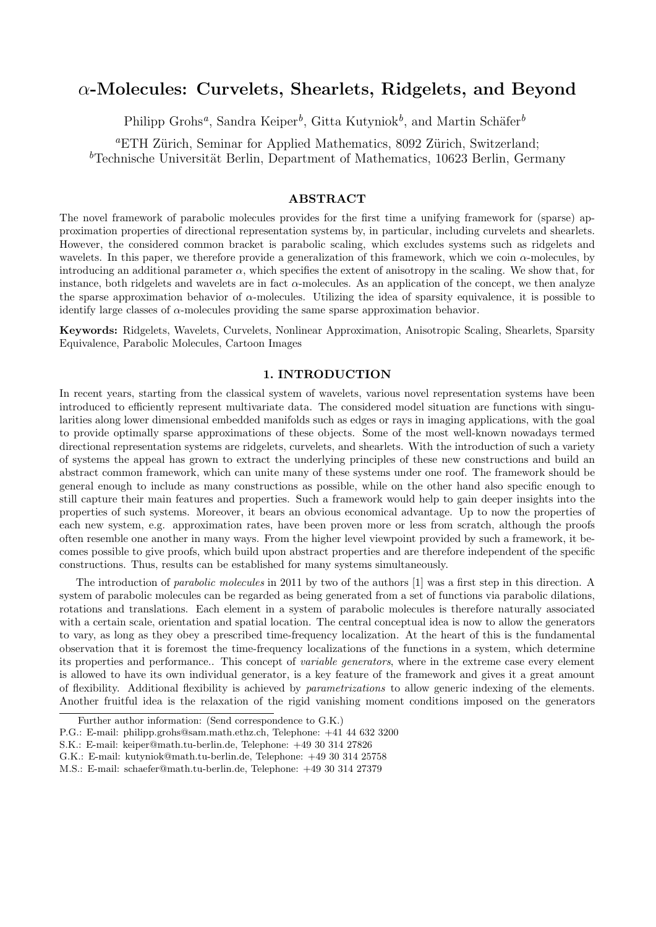# *α***-Molecules: Curvelets, Shearlets, Ridgelets, and Beyond**

Philipp Grohs<sup>*a*</sup>, Sandra Keiper<sup>*b*</sup>, Gitta Kutyniok<sup>*b*</sup>, and Martin Schäfer<sup>*b*</sup>

<sup>a</sup>ETH Zürich, Seminar for Applied Mathematics, 8092 Zürich, Switzerland; <sup>b</sup>Technische Universität Berlin, Department of Mathematics, 10623 Berlin, Germany

# **ABSTRACT**

The novel framework of parabolic molecules provides for the first time a unifying framework for (sparse) approximation properties of directional representation systems by, in particular, including curvelets and shearlets. However, the considered common bracket is parabolic scaling, which excludes systems such as ridgelets and wavelets. In this paper, we therefore provide a generalization of this framework, which we coin *α*-molecules, by introducing an additional parameter  $\alpha$ , which specifies the extent of anisotropy in the scaling. We show that, for instance, both ridgelets and wavelets are in fact  $\alpha$ -molecules. As an application of the concept, we then analyze the sparse approximation behavior of *α*-molecules. Utilizing the idea of sparsity equivalence, it is possible to identify large classes of *α*-molecules providing the same sparse approximation behavior.

**Keywords:** Ridgelets, Wavelets, Curvelets, Nonlinear Approximation, Anisotropic Scaling, Shearlets, Sparsity Equivalence, Parabolic Molecules, Cartoon Images

# **1. INTRODUCTION**

In recent years, starting from the classical system of wavelets, various novel representation systems have been introduced to efficiently represent multivariate data. The considered model situation are functions with singularities along lower dimensional embedded manifolds such as edges or rays in imaging applications, with the goal to provide optimally sparse approximations of these objects. Some of the most well-known nowadays termed directional representation systems are ridgelets, curvelets, and shearlets. With the introduction of such a variety of systems the appeal has grown to extract the underlying principles of these new constructions and build an abstract common framework, which can unite many of these systems under one roof. The framework should be general enough to include as many constructions as possible, while on the other hand also specific enough to still capture their main features and properties. Such a framework would help to gain deeper insights into the properties of such systems. Moreover, it bears an obvious economical advantage. Up to now the properties of each new system, e.g. approximation rates, have been proven more or less from scratch, although the proofs often resemble one another in many ways. From the higher level viewpoint provided by such a framework, it becomes possible to give proofs, which build upon abstract properties and are therefore independent of the specific constructions. Thus, results can be established for many systems simultaneously.

The introduction of *parabolic molecules* in 2011 by two of the authors [1] was a first step in this direction. A system of parabolic molecules can be regarded as being generated from a set of functions via parabolic dilations, rotations and translations. Each element in a system of parabolic molecules is therefore naturally associated with a certain scale, orientation and spatial location. The central conceptual idea is now to allow the generators to vary, as long as they obey a prescribed time-frequency localization. At the heart of this is the fundamental observation that it is foremost the time-frequency localizations of the functions in a system, which determine its properties and performance.. This concept of *variable generators*, where in the extreme case every element is allowed to have its own individual generator, is a key feature of the framework and gives it a great amount of flexibility. Additional flexibility is achieved by *parametrizations* to allow generic indexing of the elements. Another fruitful idea is the relaxation of the rigid vanishing moment conditions imposed on the generators

Further author information: (Send correspondence to G.K.)

P.G.: E-mail: philipp.grohs@sam.math.ethz.ch, Telephone: +41 44 632 3200

S.K.: E-mail: keiper@math.tu-berlin.de, Telephone: +49 30 314 27826

G.K.: E-mail: kutyniok@math.tu-berlin.de, Telephone: +49 30 314 25758

M.S.: E-mail: schaefer@math.tu-berlin.de, Telephone: +49 30 314 27379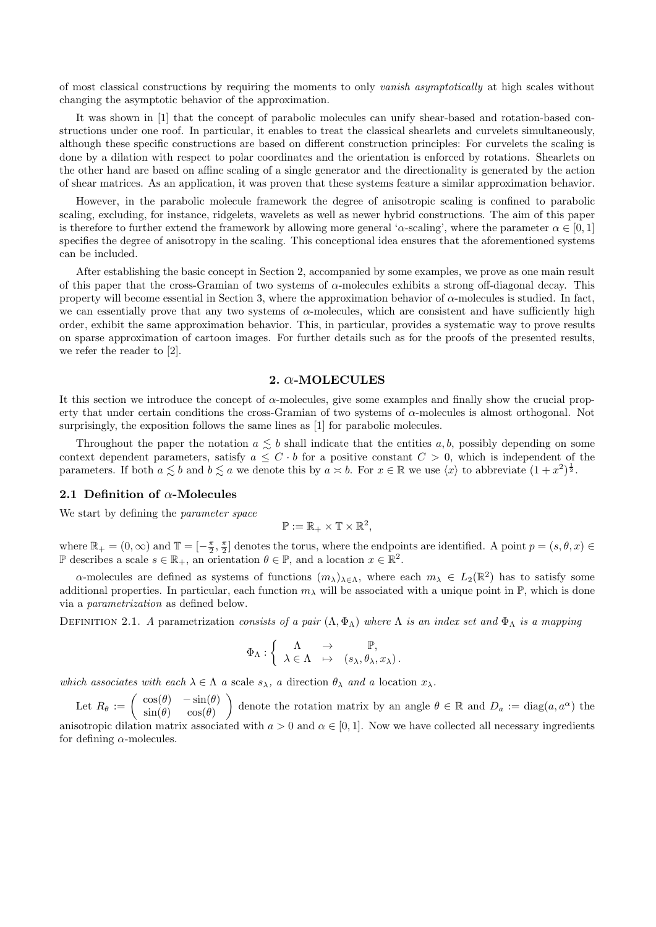of most classical constructions by requiring the moments to only *vanish asymptotically* at high scales without changing the asymptotic behavior of the approximation.

It was shown in [1] that the concept of parabolic molecules can unify shear-based and rotation-based constructions under one roof. In particular, it enables to treat the classical shearlets and curvelets simultaneously, although these specific constructions are based on different construction principles: For curvelets the scaling is done by a dilation with respect to polar coordinates and the orientation is enforced by rotations. Shearlets on the other hand are based on affine scaling of a single generator and the directionality is generated by the action of shear matrices. As an application, it was proven that these systems feature a similar approximation behavior.

However, in the parabolic molecule framework the degree of anisotropic scaling is confined to parabolic scaling, excluding, for instance, ridgelets, wavelets as well as newer hybrid constructions. The aim of this paper is therefore to further extend the framework by allowing more general '*α*-scaling', where the parameter  $\alpha \in [0,1]$ specifies the degree of anisotropy in the scaling. This conceptional idea ensures that the aforementioned systems can be included.

After establishing the basic concept in Section 2, accompanied by some examples, we prove as one main result of this paper that the cross-Gramian of two systems of *α*-molecules exhibits a strong off-diagonal decay. This property will become essential in Section 3, where the approximation behavior of *α*-molecules is studied. In fact, we can essentially prove that any two systems of  $\alpha$ -molecules, which are consistent and have sufficiently high order, exhibit the same approximation behavior. This, in particular, provides a systematic way to prove results on sparse approximation of cartoon images. For further details such as for the proofs of the presented results, we refer the reader to [2].

## **2.** *α***-MOLECULES**

It this section we introduce the concept of *α*-molecules, give some examples and finally show the crucial property that under certain conditions the cross-Gramian of two systems of *α*-molecules is almost orthogonal. Not surprisingly, the exposition follows the same lines as [1] for parabolic molecules.

Throughout the paper the notation  $a \lesssim b$  shall indicate that the entities  $a, b$ , possibly depending on some context dependent parameters, satisfy  $a \leq C \cdot b$  for a positive constant  $C > 0$ , which is independent of the parameters. If both  $a \leq b$  and  $b \leq a$  we denote this by  $a \times b$ . For  $x \in \mathbb{R}$  we use  $\langle x \rangle$  to abbreviate  $(1 + x^2)^{\frac{1}{2}}$ .

#### **2.1 Definition of** *α***-Molecules**

We start by defining the *parameter space*

$$
\mathbb{P}:=\mathbb{R}_+\times\mathbb{T}\times\mathbb{R}^2,
$$

where  $\mathbb{R}_+ = (0, \infty)$  and  $\mathbb{T} = [-\frac{\pi}{2}, \frac{\pi}{2}]$  denotes the torus, where the endpoints are identified. A point  $p = (s, \theta, x) \in$ P describes a scale  $s \in \mathbb{R}_+$ , an orientation  $\theta \in \mathbb{P}$ , and a location  $x \in \mathbb{R}^2$ .

*α*-molecules are defined as systems of functions  $(m_\lambda)_{\lambda \in \Lambda}$ , where each  $m_\lambda \in L_2(\mathbb{R}^2)$  has to satisfy some additional properties. In particular, each function  $m<sub>\lambda</sub>$  will be associated with a unique point in  $\mathbb{P}$ , which is done via a *parametrization* as defined below.

DEFINITION 2.1. *A* parametrization *consists of a pair*  $(\Lambda, \Phi_{\Lambda})$  *where*  $\Lambda$  *is an index set and*  $\Phi_{\Lambda}$  *is a mapping* 

$$
\Phi_{\Lambda}: \left\{ \begin{array}{ccc} \Lambda & \to & \mathbb{P}, \\ \lambda \in \Lambda & \mapsto & (s_{\lambda}, \theta_{\lambda}, x_{\lambda}). \end{array} \right.
$$

*which associates with each*  $\lambda \in \Lambda$  *a* scale  $s_{\lambda}$ *, a* direction  $\theta_{\lambda}$  *and a* location  $x_{\lambda}$ *.* 

Let  $R_{\theta} := \begin{pmatrix} \cos(\theta) & -\sin(\theta) \\ \sin(\theta) & \cos(\theta) \end{pmatrix}$  $\sin(\theta) \quad \cos(\theta)$ denote the rotation matrix by an angle  $\theta \in \mathbb{R}$  and  $D_a := \text{diag}(a, a^{\alpha})$  the anisotropic dilation matrix associated with  $a > 0$  and  $\alpha \in [0, 1]$ . Now we have collected all necessary ingredients for defining *α*-molecules.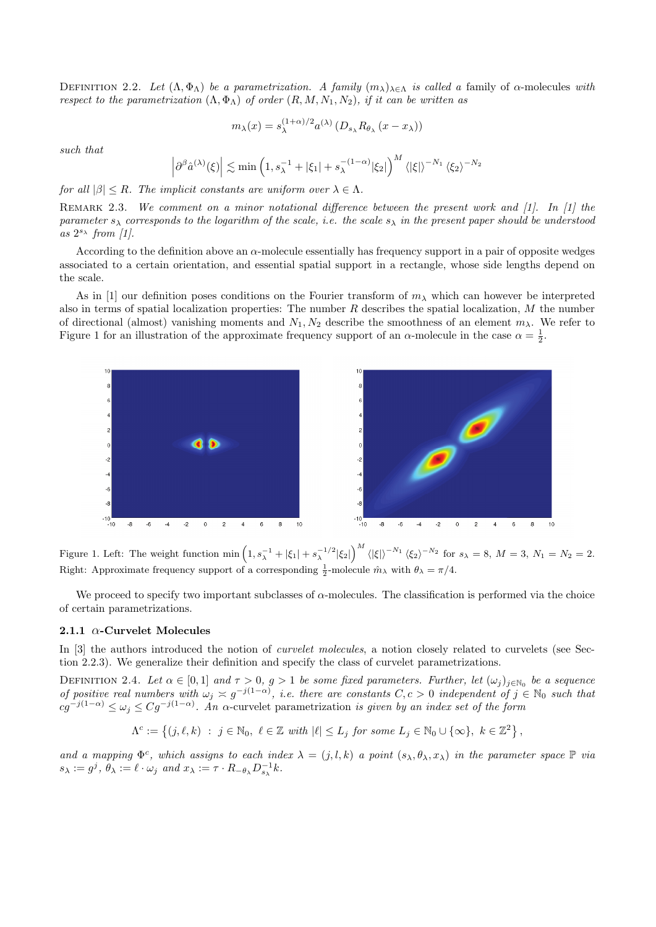DEFINITION 2.2. *Let*  $(Λ, Φ<sub>Λ</sub>)$  *be a parametrization. A family*  $(m<sub>λ</sub>)<sub>λ∈Λ</sub>$  *is called a* family of *α*-molecules *with respect to the parametrization*  $(\Lambda, \Phi_{\Lambda})$  *of order*  $(R, M, N_1, N_2)$ *, if it can be written as* 

$$
m_{\lambda}(x) = s_{\lambda}^{(1+\alpha)/2} a^{(\lambda)} \left( D_{s_{\lambda}} R_{\theta_{\lambda}} \left( x - x_{\lambda} \right) \right)
$$

*such that*

$$
\left|\partial^{\beta}\hat{a}^{(\lambda)}(\xi)\right| \lesssim \min\left(1, s_{\lambda}^{-1} + |\xi_1| + s_{\lambda}^{-(1-\alpha)}|\xi_2|\right)^M \langle |\xi|\rangle^{-N_1} \langle \xi_2\rangle^{-N_2}
$$

*for all*  $|\beta| \leq R$ *. The implicit constants are uniform over*  $\lambda \in \Lambda$ *.* 

REMARK 2.3. We comment on a minor notational difference between the present work and [1]. In [1] the *parameter*  $s_\lambda$  *corresponds to the logarithm of the scale, i.e. the scale*  $s_\lambda$  *in the present paper should be understood as* 2 *<sup>s</sup><sup>λ</sup> from [1].*

According to the definition above an *α*-molecule essentially has frequency support in a pair of opposite wedges associated to a certain orientation, and essential spatial support in a rectangle, whose side lengths depend on the scale.

As in [1] our definition poses conditions on the Fourier transform of *m<sup>λ</sup>* which can however be interpreted also in terms of spatial localization properties: The number *R* describes the spatial localization, *M* the number of directional (almost) vanishing moments and  $N_1, N_2$  describe the smoothness of an element  $m_\lambda$ . We refer to Figure 1 for an illustration of the approximate frequency support of an *α*-molecule in the case  $\alpha = \frac{1}{2}$ .



Figure 1. Left: The weight function  $\min\left(1, s_{\lambda}^{-1} + |\xi_1| + s_{\lambda}^{-1/2} |\xi_2|\right)^M \langle |\xi| \rangle^{-N_1} \langle \xi_2 \rangle^{-N_2}$  for  $s_{\lambda} = 8$ ,  $M = 3$ ,  $N_1 = N_2 = 2$ . Right: Approximate frequency support of a corresponding  $\frac{1}{2}$ -molecule  $\hat{m}_{\lambda}$  with  $\theta_{\lambda} = \pi/4$ .

We proceed to specify two important subclasses of *α*-molecules. The classification is performed via the choice of certain parametrizations.

#### **2.1.1** *α***-Curvelet Molecules**

In [3] the authors introduced the notion of *curvelet molecules*, a notion closely related to curvelets (see Section 2.2.3). We generalize their definition and specify the class of curvelet parametrizations.

DEFINITION 2.4. Let  $\alpha \in [0,1]$  and  $\tau > 0$ ,  $g > 1$  be some fixed parameters. Further, let  $(\omega_j)_{j \in \mathbb{N}_0}$  be a sequence *of positive real numbers with*  $\omega_j \asymp g^{-j(1-\alpha)}$ , *i.e. there are constants*  $C, c > 0$  *independent of*  $j \in \mathbb{N}_0$  *such that*  $cg^{-j(1-\alpha)} \leq \omega_j \leq Cg^{-j(1-\alpha)}$ . An  $\alpha$ -curvelet parametrization *is given by an index set of the form* 

$$
\Lambda^c := \left\{ (j,\ell,k) \ : \ j \in \mathbb{N}_0, \ \ell \in \mathbb{Z} \ \text{with} \ |\ell| \leq L_j \ \text{for some} \ L_j \in \mathbb{N}_0 \cup \{\infty\}, \ k \in \mathbb{Z}^2 \right\},
$$

and a mapping  $\Phi^c$ , which assigns to each index  $\lambda = (j, l, k)$  a point  $(s_\lambda, \theta_\lambda, x_\lambda)$  in the parameter space  $\mathbb P$  via  $s_{\lambda} := g^{j}, \ \theta_{\lambda} := \ell \cdot \omega_{j} \ \ and \ x_{\lambda} := \tau \cdot R_{-\theta_{\lambda}} D_{s_{\lambda}}^{-1} k.$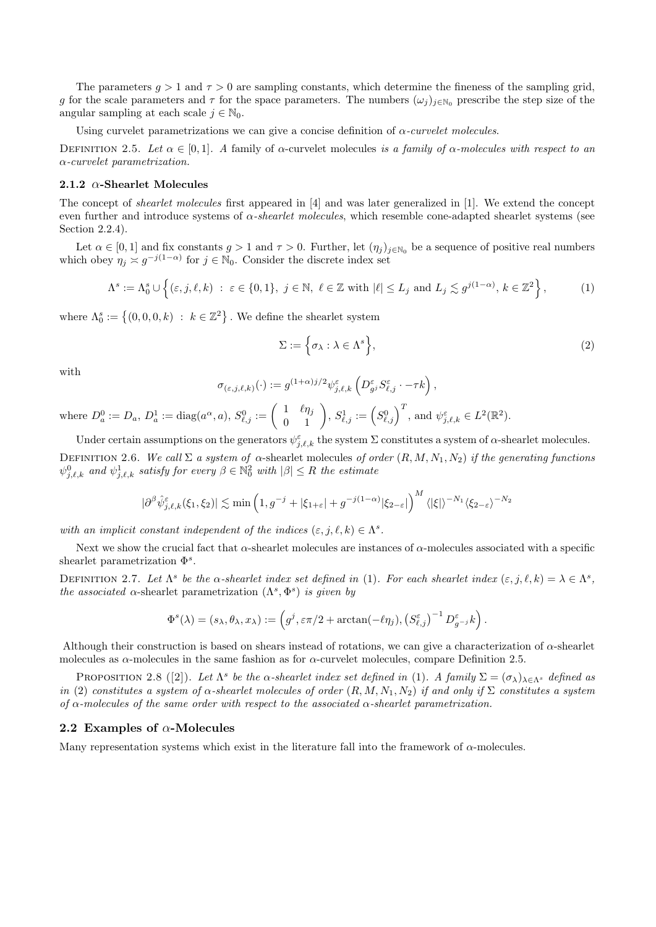The parameters  $q > 1$  and  $\tau > 0$  are sampling constants, which determine the fineness of the sampling grid, *g* for the scale parameters and  $\tau$  for the space parameters. The numbers  $(\omega_j)_{j \in \mathbb{N}_0}$  prescribe the step size of the angular sampling at each scale  $j \in \mathbb{N}_0$ .

Using curvelet parametrizations we can give a concise definition of *α-curvelet molecules*.

DEFINITION 2.5. Let  $\alpha \in [0,1]$ . A family of  $\alpha$ -curvelet molecules *is a family of*  $\alpha$ -molecules with respect to an *α-curvelet parametrization.*

# **2.1.2** *α***-Shearlet Molecules**

The concept of *shearlet molecules* first appeared in [4] and was later generalized in [1]. We extend the concept even further and introduce systems of *α-shearlet molecules*, which resemble cone-adapted shearlet systems (see Section 2.2.4).

Let  $\alpha \in [0,1]$  and fix constants  $g > 1$  and  $\tau > 0$ . Further, let  $(\eta_j)_{j \in \mathbb{N}_0}$  be a sequence of positive real numbers which obey  $\eta_j \approx g^{-j(1-\alpha)}$  for  $j \in \mathbb{N}_0$ . Consider the discrete index set

$$
\Lambda^s := \Lambda_0^s \cup \left\{ (\varepsilon, j, \ell, k) \; : \; \varepsilon \in \{0, 1\}, \; j \in \mathbb{N}, \; \ell \in \mathbb{Z} \text{ with } |\ell| \le L_j \text{ and } L_j \lesssim g^{j(1-\alpha)}, \, k \in \mathbb{Z}^2 \right\},\tag{1}
$$

where  $\Lambda_0^s := \{(0,0,0,k) : k \in \mathbb{Z}^2\}$ . We define the shearlet system

$$
\Sigma := \left\{ \sigma_{\lambda} : \lambda \in \Lambda^s \right\},\tag{2}
$$

with

$$
\sigma_{(\varepsilon,j,\ell,k)}(\cdot) := g^{(1+\alpha)j/2} \psi_{j,\ell,k}^{\varepsilon} \left( D_{g^j}^{\varepsilon} S_{\ell,j}^{\varepsilon} \cdot -\tau k \right),
$$

where  $D_a^0 := D_a$ ,  $D_a^1 := \text{diag}(a^\alpha, a)$ ,  $S_{\ell, j}^0 := \begin{pmatrix} 1 & \ell \eta_j \\ 0 & 1 \end{pmatrix}$ ,  $S_{\ell, j}^1 := \left(S_{\ell, j}^0\right)^T$ , and  $\psi_{j, \ell, k}^{\varepsilon} \in L^2(\mathbb{R}^2)$ .

Under certain assumptions on the generators  $\psi_{j,\ell,k}^{\varepsilon}$  the system  $\Sigma$  constitutes a system of  $\alpha$ -shearlet molecules. DEFINITION 2.6. *We call* Σ *a system of*  $\alpha$ -shearlet molecules *of order*  $(R, M, N_1, N_2)$  *if the generating functions*  $\psi_{j,\ell,k}^0$  and  $\psi_{j,\ell,k}^1$  satisfy for every  $\beta \in \mathbb{N}_0^2$  with  $|\beta| \leq R$  the estimate

$$
|\partial^{\beta}\hat{\psi}_{j,\ell,k}^{\varepsilon}(\xi_1,\xi_2)| \lesssim \min\left(1,g^{-j}+|\xi_{1+\varepsilon}|+g^{-j(1-\alpha)}|\xi_{2-\varepsilon}|\right)^M \langle |\xi|\rangle^{-N_1} \langle \xi_{2-\varepsilon}\rangle^{-N_2}
$$

*with an implicit constant independent of the indices*  $(\varepsilon, j, \ell, k) \in \Lambda^s$ .

Next we show the crucial fact that *α*-shearlet molecules are instances of *α*-molecules associated with a specific shearlet parametrization Φ*<sup>s</sup>* .

DEFINITION 2.7. Let  $\Lambda^s$  be the  $\alpha$ -shearlet index set defined in (1). For each shearlet index  $(\varepsilon, j, \ell, k) = \lambda \in \Lambda^s$ , *the associated*  $\alpha$ -shearlet parametrization  $(\Lambda^s, \Phi^s)$  *is given by* 

$$
\Phi^{s}(\lambda)=(s_{\lambda},\theta_{\lambda},x_{\lambda}):=\left(g^{j},\varepsilon\pi/2+\arctan(-\ell\eta_{j}),\left(S_{\ell,j}^{\varepsilon}\right)^{-1}D_{g^{-j}}^{\varepsilon}k\right).
$$

Although their construction is based on shears instead of rotations, we can give a characterization of *α*-shearlet molecules as *α*-molecules in the same fashion as for *α*-curvelet molecules, compare Definition 2.5.

PROPOSITION 2.8 ([2]). Let  $\Lambda^s$  be the  $\alpha$ -shearlet index set defined in (1). A family  $\Sigma = (\sigma_\lambda)_{\lambda \in \Lambda^s}$  defined as *in* (2) *constitutes a system of*  $\alpha$ -shearlet molecules of order  $(R, M, N_1, N_2)$  *if and only if*  $\Sigma$  *constitutes a system of α-molecules of the same order with respect to the associated α-shearlet parametrization.*

#### **2.2 Examples of** *α***-Molecules**

Many representation systems which exist in the literature fall into the framework of *α*-molecules.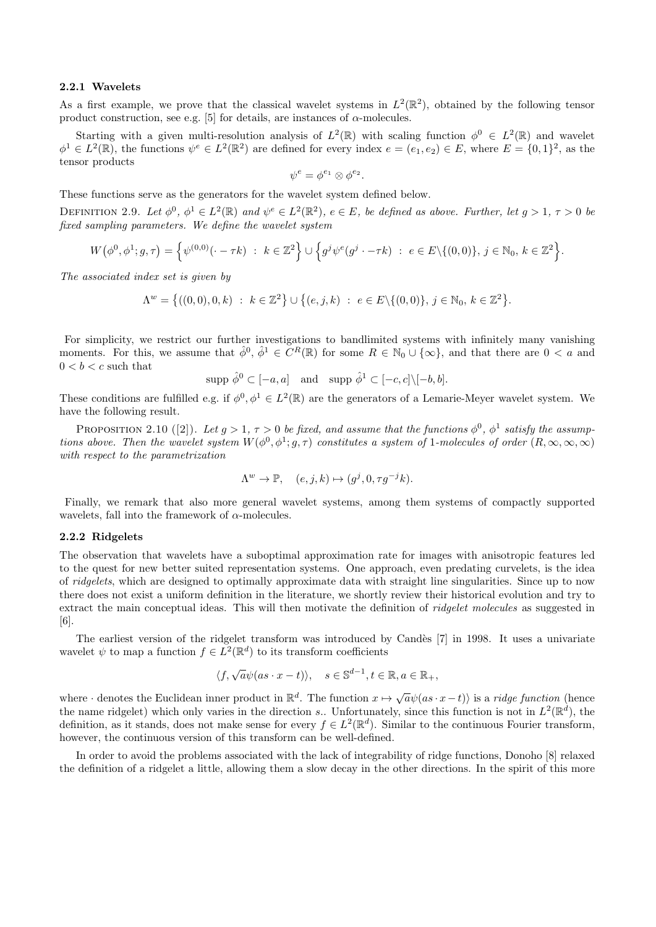# **2.2.1 Wavelets**

As a first example, we prove that the classical wavelet systems in  $L^2(\mathbb{R}^2)$ , obtained by the following tensor product construction, see e.g. [5] for details, are instances of  $\alpha$ -molecules.

Starting with a given multi-resolution analysis of  $L^2(\mathbb{R})$  with scaling function  $\phi^0 \in L^2(\mathbb{R})$  and wavelet  $\phi^1 \in L^2(\mathbb{R})$ , the functions  $\psi^e \in L^2(\mathbb{R}^2)$  are defined for every index  $e = (e_1, e_2) \in E$ , where  $E = \{0, 1\}^2$ , as the tensor products

$$
\psi^e = \phi^{e_1} \otimes \phi^{e_2}.
$$

These functions serve as the generators for the wavelet system defined below.

DEFINITION 2.9. Let  $\phi^0$ ,  $\phi^1 \in L^2(\mathbb{R})$  and  $\psi^e \in L^2(\mathbb{R}^2)$ ,  $e \in E$ , be defined as above. Further, let  $g > 1$ ,  $\tau > 0$  be *fixed sampling parameters. We define the wavelet system*

$$
W(\phi^0, \phi^1; g, \tau) = \left\{ \psi^{(0,0)}(\cdot - \tau k) \ : \ k \in \mathbb{Z}^2 \right\} \cup \left\{ g^j \psi^e(g^j \cdot - \tau k) \ : \ e \in E \setminus \{(0,0)\}, \ j \in \mathbb{N}_0, \ k \in \mathbb{Z}^2 \right\}.
$$

*The associated index set is given by*

 $\Lambda^w = \{((0,0),0,k) : k \in \mathbb{Z}^2\} \cup \{(e,j,k) : e \in E \setminus \{(0,0)\}, j \in \mathbb{N}_0, k \in \mathbb{Z}^2\}.$ 

For simplicity, we restrict our further investigations to bandlimited systems with infinitely many vanishing moments. For this, we assume that  $\hat{\phi}^0$ ,  $\hat{\phi}^1 \in C^R(\mathbb{R})$  for some  $R \in \mathbb{N}_0 \cup \{\infty\}$ , and that there are  $0 < a$  and  $0 < b < c$  such that

$$
\text{supp }\hat{\phi}^0 \subset [-a, a] \quad \text{and} \quad \text{supp }\hat{\phi}^1 \subset [-c, c] \setminus [-b, b].
$$

These conditions are fulfilled e.g. if  $\phi^0, \phi^1 \in L^2(\mathbb{R})$  are the generators of a Lemarie-Meyer wavelet system. We have the following result.

PROPOSITION 2.10 ([2]). Let  $g > 1$ ,  $\tau > 0$  be fixed, and assume that the functions  $\phi^0$ ,  $\phi^1$  satisfy the assump*tions above. Then the wavelet system*  $W(\phi^0, \phi^1; g, \tau)$  *constitutes a system of* 1*-molecules of order*  $(R, \infty, \infty, \infty)$ *with respect to the parametrization*

$$
\Lambda^w \to \mathbb{P}, \quad (e, j, k) \mapsto (g^j, 0, \tau g^{-j} k).
$$

Finally, we remark that also more general wavelet systems, among them systems of compactly supported wavelets, fall into the framework of *α*-molecules.

# **2.2.2 Ridgelets**

The observation that wavelets have a suboptimal approximation rate for images with anisotropic features led to the quest for new better suited representation systems. One approach, even predating curvelets, is the idea of *ridgelets*, which are designed to optimally approximate data with straight line singularities. Since up to now there does not exist a uniform definition in the literature, we shortly review their historical evolution and try to extract the main conceptual ideas. This will then motivate the definition of *ridgelet molecules* as suggested in [6].

The earliest version of the ridgelet transform was introduced by Candès [7] in 1998. It uses a univariate wavelet  $\psi$  to map a function  $f \in L^2(\mathbb{R}^d)$  to its transform coefficients

$$
\langle f, \sqrt{a}\psi(as \cdot x - t) \rangle
$$
,  $s \in \mathbb{S}^{d-1}, t \in \mathbb{R}, a \in \mathbb{R}_+$ ,

where  $\cdot$  denotes the Euclidean inner product in  $\mathbb{R}^d$ . The function  $x \mapsto \sqrt{a}\psi(as \cdot x - t)$  is a *ridge function* (hence the name ridgelet) which only varies in the direction *s*.. Unfortunately, since this function is not in  $L^2(\mathbb{R}^d)$ , the definition, as it stands, does not make sense for every  $f \in L^2(\mathbb{R}^d)$ . Similar to the continuous Fourier transform, however, the continuous version of this transform can be well-defined.

In order to avoid the problems associated with the lack of integrability of ridge functions, Donoho [8] relaxed the definition of a ridgelet a little, allowing them a slow decay in the other directions. In the spirit of this more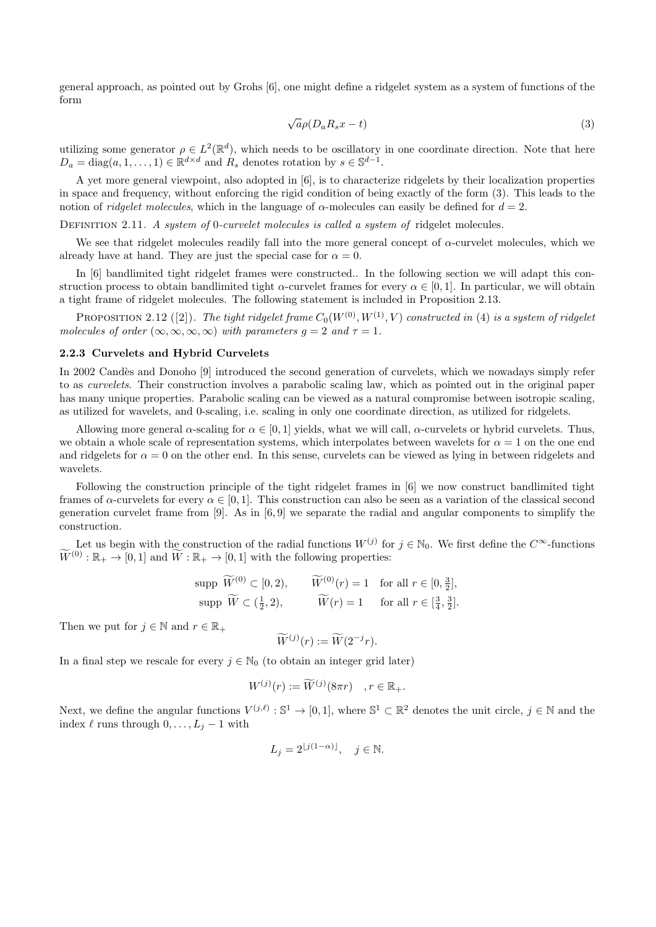general approach, as pointed out by Grohs [6], one might define a ridgelet system as a system of functions of the form

$$
\sqrt{a}\rho(D_a R_s x - t) \tag{3}
$$

utilizing some generator  $\rho \in L^2(\mathbb{R}^d)$ , which needs to be oscillatory in one coordinate direction. Note that here  $D_a = \text{diag}(a, 1, \ldots, 1) \in \mathbb{R}^{d \times d}$  and  $R_s$  denotes rotation by  $s \in \mathbb{S}^{d-1}$ .

A yet more general viewpoint, also adopted in [6], is to characterize ridgelets by their localization properties in space and frequency, without enforcing the rigid condition of being exactly of the form (3). This leads to the notion of *ridgelet molecules*, which in the language of  $\alpha$ -molecules can easily be defined for  $d = 2$ .

Definition 2.11. *A system of* 0*-curvelet molecules is called a system of* ridgelet molecules*.*

We see that ridgelet molecules readily fall into the more general concept of  $\alpha$ -curvelet molecules, which we already have at hand. They are just the special case for  $\alpha = 0$ .

In [6] bandlimited tight ridgelet frames were constructed.. In the following section we will adapt this construction process to obtain bandlimited tight *α*-curvelet frames for every  $\alpha \in [0,1]$ . In particular, we will obtain a tight frame of ridgelet molecules. The following statement is included in Proposition 2.13.

PROPOSITION 2.12 ([2]). *The tight ridgelet frame*  $C_0(W^{(0)}, W^{(1)}, V)$  *constructed in* (4) *is a system of ridgelet molecules of order*  $(\infty, \infty, \infty, \infty)$  *with parameters*  $g = 2$  *and*  $\tau = 1$ *.* 

#### **2.2.3 Curvelets and Hybrid Curvelets**

In 2002 Candès and Donoho [9] introduced the second generation of curvelets, which we nowadays simply refer to as *curvelets*. Their construction involves a parabolic scaling law, which as pointed out in the original paper has many unique properties. Parabolic scaling can be viewed as a natural compromise between isotropic scaling, as utilized for wavelets, and 0-scaling, i.e. scaling in only one coordinate direction, as utilized for ridgelets.

Allowing more general *α*-scaling for  $\alpha \in [0, 1]$  yields, what we will call, *α*-curvelets or hybrid curvelets. Thus, we obtain a whole scale of representation systems, which interpolates between wavelets for  $\alpha = 1$  on the one end and ridgelets for  $\alpha = 0$  on the other end. In this sense, curvelets can be viewed as lying in between ridgelets and wavelets.

Following the construction principle of the tight ridgelet frames in [6] we now construct bandlimited tight frames of  $\alpha$ -curvelets for every  $\alpha \in [0,1]$ . This construction can also be seen as a variation of the classical second generation curvelet frame from  $[9]$ . As in  $[6, 9]$  we separate the radial and angular components to simplify the construction.

Let us begin with the construction of the radial functions  $W^{(j)}$  for  $j \in \mathbb{N}_0$ . We first define the  $C^{\infty}$ -functions  $\widetilde{W}^{(0)}$ :  $\mathbb{R}_+ \to [0,1]$  and  $\widetilde{W}$ :  $\mathbb{R}_+ \to [0,1]$  with the following properties:

$$
\text{supp } \widetilde{W}^{(0)} \subset [0, 2), \qquad \widetilde{W}^{(0)}(r) = 1 \quad \text{for all } r \in [0, \frac{3}{2}],
$$
\n
$$
\text{supp } \widetilde{W} \subset (\frac{1}{2}, 2), \qquad \widetilde{W}(r) = 1 \quad \text{for all } r \in [\frac{3}{4}, \frac{3}{2}].
$$

Then we put for  $j \in \mathbb{N}$  and  $r \in \mathbb{R}_+$ 

$$
\widetilde{W}^{(j)}(r) := \widetilde{W}(2^{-j}r).
$$

In a final step we rescale for every  $j \in \mathbb{N}_0$  (to obtain an integer grid later)

$$
W^{(j)}(r) := \widetilde{W}^{(j)}(8\pi r) \quad , r \in \mathbb{R}_+.
$$

Next, we define the angular functions  $V^{(j,\ell)}$ :  $\mathbb{S}^1 \to [0,1]$ , where  $\mathbb{S}^1 \subset \mathbb{R}^2$  denotes the unit circle,  $j \in \mathbb{N}$  and the index  $\ell$  runs through  $0, \ldots, L_j - 1$  with

$$
L_j = 2^{\lfloor j(1-\alpha)\rfloor}, \quad j \in \mathbb{N}.
$$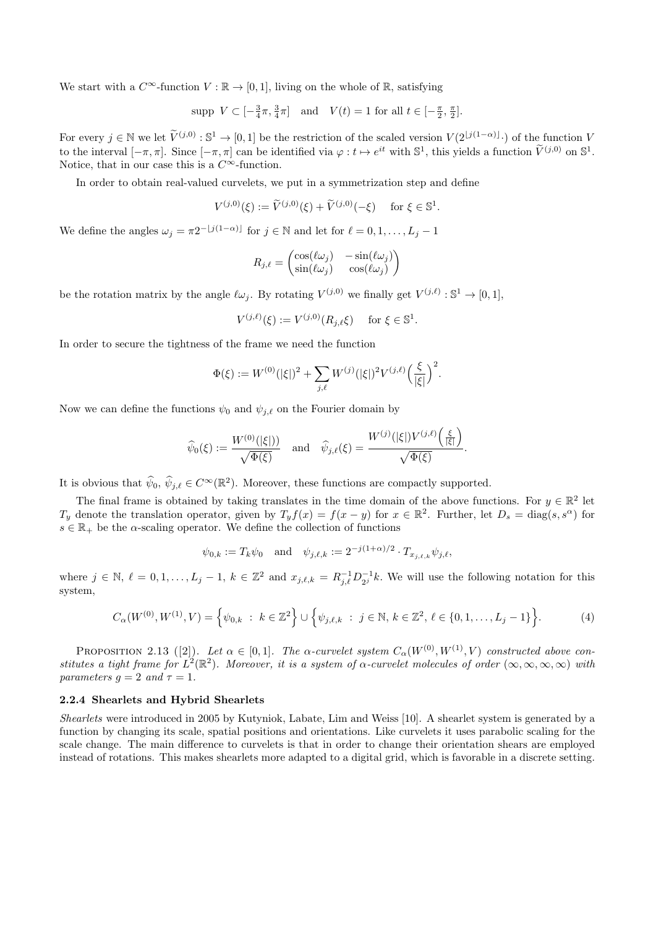We start with a  $C^{\infty}$ -function  $V : \mathbb{R} \to [0,1]$ , living on the whole of  $\mathbb{R}$ , satisfying

$$
\text{supp } V \subset [-\frac{3}{4}\pi, \frac{3}{4}\pi] \quad \text{and} \quad V(t) = 1 \text{ for all } t \in [-\frac{\pi}{2}, \frac{\pi}{2}].
$$

For every  $j \in \mathbb{N}$  we let  $\tilde{V}^{(j,0)} : \mathbb{S}^1 \to [0,1]$  be the restriction of the scaled version  $V(2^{\lfloor j(1-\alpha)\rfloor})$  of the function *V* to the interval  $[-\pi, \pi]$ . Since  $[-\pi, \pi]$  can be identified via  $\varphi : t \mapsto e^{it}$  with  $\mathbb{S}^1$ , this yields a function  $\tilde{V}^{(j,0)}$  on  $\mathbb{S}^1$ . Notice, that in our case this is a  $C^{\infty}$ -function.

In order to obtain real-valued curvelets, we put in a symmetrization step and define

$$
V^{(j,0)}(\xi) := \widetilde{V}^{(j,0)}(\xi) + \widetilde{V}^{(j,0)}(-\xi) \quad \text{ for } \xi \in \mathbb{S}^1.
$$

We define the angles  $\omega_j = \pi 2^{-\lfloor j(1-\alpha)\rfloor}$  for  $j \in \mathbb{N}$  and let for  $\ell = 0, 1, \ldots, L_j - 1$ 

$$
R_{j,\ell} = \begin{pmatrix} \cos(\ell \omega_j) & -\sin(\ell \omega_j) \\ \sin(\ell \omega_j) & \cos(\ell \omega_j) \end{pmatrix}
$$

be the rotation matrix by the angle  $\ell \omega_j$ . By rotating  $V^{(j,0)}$  we finally get  $V^{(j,\ell)}$ :  $\mathbb{S}^1 \to [0,1],$ 

$$
V^{(j,\ell)}(\xi) := V^{(j,0)}(R_{j,\ell}\xi) \quad \text{ for } \xi \in \mathbb{S}^1.
$$

In order to secure the tightness of the frame we need the function

$$
\Phi(\xi) := W^{(0)}(|\xi|)^2 + \sum_{j,\ell} W^{(j)}(|\xi|)^2 V^{(j,\ell)} \left(\frac{\xi}{|\xi|}\right)^2.
$$

Now we can define the functions  $\psi_0$  and  $\psi_{j,\ell}$  on the Fourier domain by

$$
\widehat{\psi}_0(\xi) := \frac{W^{(0)}(|\xi|))}{\sqrt{\Phi(\xi)}} \quad \text{and} \quad \widehat{\psi}_{j,\ell}(\xi) = \frac{W^{(j)}(|\xi|)V^{(j,\ell)}\left(\frac{\xi}{|\xi|}\right)}{\sqrt{\Phi(\xi)}}.
$$

It is obvious that  $\hat{\psi}_0, \hat{\psi}_{j,\ell} \in C^{\infty}(\mathbb{R}^2)$ . Moreover, these functions are compactly supported.

The final frame is obtained by taking translates in the time domain of the above functions. For  $y \in \mathbb{R}^2$  let *T*<sub>*y*</sub> denote the translation operator, given by  $T_y f(x) = f(x - y)$  for  $x \in \mathbb{R}^2$ . Further, let  $D_s = \text{diag}(s, s^\alpha)$  for  $s \in \mathbb{R}_+$  be the *α*-scaling operator. We define the collection of functions

$$
\psi_{0,k} := T_k \psi_0 \quad \text{and} \quad \psi_{j,\ell,k} := 2^{-j(1+\alpha)/2} \cdot T_{x_{j,\ell,k}} \psi_{j,\ell},
$$

where  $j \in \mathbb{N}, \ell = 0, 1, \ldots, L_j - 1, k \in \mathbb{Z}^2$  and  $x_{j,\ell,k} = R_{j,\ell}^{-1} D_{2j}^{-1} k$ . We will use the following notation for this system,

$$
C_{\alpha}(W^{(0)}, W^{(1)}, V) = \left\{\psi_{0,k} : k \in \mathbb{Z}^2\right\} \cup \left\{\psi_{j,\ell,k} : j \in \mathbb{N}, k \in \mathbb{Z}^2, \ell \in \{0,1,\ldots,L_j-1\}\right\}.
$$
 (4)

PROPOSITION 2.13 ([2]). Let  $\alpha \in [0,1]$ . The  $\alpha$ -curvelet system  $C_{\alpha}(W^{(0)}, W^{(1)}, V)$  constructed above constitutes a tight frame for  $L^2(\mathbb{R}^2)$ . Moreover, it is a system of  $\alpha$ -curvelet molecules of order  $(\infty, \infty, \infty, \infty)$  with *parameters*  $q = 2$  *and*  $\tau = 1$ *.* 

# **2.2.4 Shearlets and Hybrid Shearlets**

*Shearlets* were introduced in 2005 by Kutyniok, Labate, Lim and Weiss [10]. A shearlet system is generated by a function by changing its scale, spatial positions and orientations. Like curvelets it uses parabolic scaling for the scale change. The main difference to curvelets is that in order to change their orientation shears are employed instead of rotations. This makes shearlets more adapted to a digital grid, which is favorable in a discrete setting.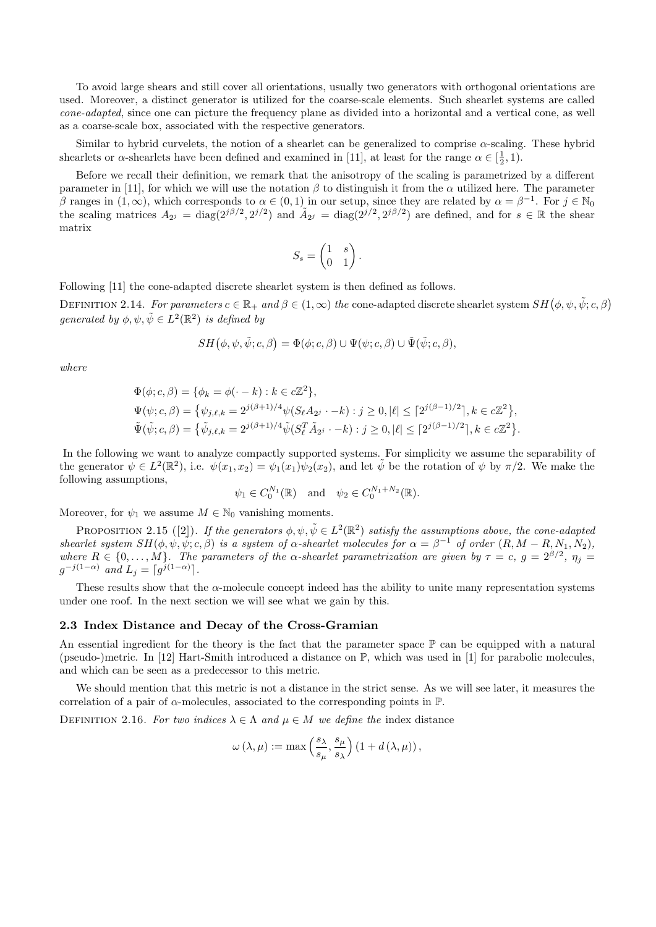To avoid large shears and still cover all orientations, usually two generators with orthogonal orientations are used. Moreover, a distinct generator is utilized for the coarse-scale elements. Such shearlet systems are called *cone-adapted*, since one can picture the frequency plane as divided into a horizontal and a vertical cone, as well as a coarse-scale box, associated with the respective generators.

Similar to hybrid curvelets, the notion of a shearlet can be generalized to comprise  $\alpha$ -scaling. These hybrid shearlets or *α*-shearlets have been defined and examined in [11], at least for the range  $\alpha \in \left[\frac{1}{2}, 1\right)$ .

Before we recall their definition, we remark that the anisotropy of the scaling is parametrized by a different parameter in [11], for which we will use the notation *β* to distinguish it from the *α* utilized here. The parameter *β* ranges in  $(1, ∞)$ , which corresponds to  $α ∈ (0, 1)$  in our setup, since they are related by  $α = β^{-1}$ . For  $j ∈ ℕ_0$ the scaling matrices  $A_{2j} = \text{diag}(2^{j\beta/2}, 2^{j/2})$  and  $\tilde{A}_{2j} = \text{diag}(2^{j/2}, 2^{j\beta/2})$  are defined, and for  $s \in \mathbb{R}$  the shear matrix

$$
S_s = \begin{pmatrix} 1 & s \\ 0 & 1 \end{pmatrix}.
$$

Following [11] the cone-adapted discrete shearlet system is then defined as follows.

DEFINITION 2.14. *For parameters*  $c \in \mathbb{R}_+$  *and*  $\beta \in (1, \infty)$  *the* cone-adapted discrete shearlet system  $SH(\phi, \psi, \tilde{\psi}; c, \beta)$ *generated by*  $\phi, \psi, \tilde{\psi} \in L^2(\mathbb{R}^2)$  *is defined by* 

$$
SH(\phi, \psi, \tilde{\psi}; c, \beta) = \Phi(\phi; c, \beta) \cup \Psi(\psi; c, \beta) \cup \tilde{\Psi}(\tilde{\psi}; c, \beta),
$$

*where*

$$
\Phi(\phi; c, \beta) = \{ \phi_k = \phi(\cdot - k) : k \in c\mathbb{Z}^2 \},
$$
  
\n
$$
\Psi(\psi; c, \beta) = \{ \psi_{j,\ell,k} = 2^{j(\beta + 1)/4} \psi(S_{\ell} A_{2j} \cdot - k) : j \ge 0, |\ell| \le [2^{j(\beta - 1)/2}], k \in c\mathbb{Z}^2 \},
$$
  
\n
$$
\tilde{\Psi}(\tilde{\psi}; c, \beta) = \{ \tilde{\psi}_{j,\ell,k} = 2^{j(\beta + 1)/4} \tilde{\psi}(S_{\ell}^T \tilde{A}_{2j} \cdot - k) : j \ge 0, |\ell| \le [2^{j(\beta - 1)/2}], k \in c\mathbb{Z}^2 \}.
$$

In the following we want to analyze compactly supported systems. For simplicity we assume the separability of the generator  $\psi \in L^2(\mathbb{R}^2)$ , i.e.  $\psi(x_1, x_2) = \psi_1(x_1)\psi_2(x_2)$ , and let  $\tilde{\psi}$  be the rotation of  $\psi$  by  $\pi/2$ . We make the following assumptions,

$$
\psi_1 \in C_0^{N_1}(\mathbb{R})
$$
 and  $\psi_2 \in C_0^{N_1+N_2}(\mathbb{R})$ .

Moreover, for  $\psi_1$  we assume  $M \in \mathbb{N}_0$  vanishing moments.

PROPOSITION 2.15 ([2]). *If the generators*  $\phi, \psi, \tilde{\psi} \in L^2(\mathbb{R}^2)$  *satisfy the assumptions above, the cone-adapted* shearlet system  $SH(\phi, \psi, \psi, c, \beta)$  is a system of  $\alpha$ -shearlet molecules for  $\alpha = \beta^{-1}$  of order  $(R, M - R, N_1, N_2)$ , *where*  $R \in \{0, \ldots, M\}$ . The parameters of the  $\alpha$ -shearlet parametrization are given by  $\tau = c$ ,  $g = 2^{\beta/2}$ ,  $\eta_j =$  $g^{-j(1-\alpha)}$  *and*  $L_j = \lceil g^{j(1-\alpha)} \rceil$ .

These results show that the *α*-molecule concept indeed has the ability to unite many representation systems under one roof. In the next section we will see what we gain by this.

# **2.3 Index Distance and Decay of the Cross-Gramian**

An essential ingredient for the theory is the fact that the parameter space  $\mathbb P$  can be equipped with a natural (pseudo-)metric. In [12] Hart-Smith introduced a distance on P, which was used in [1] for parabolic molecules, and which can be seen as a predecessor to this metric.

We should mention that this metric is not a distance in the strict sense. As we will see later, it measures the correlation of a pair of  $\alpha$ -molecules, associated to the corresponding points in  $\mathbb{P}$ .

DEFINITION 2.16. For two indices  $\lambda \in \Lambda$  and  $\mu \in M$  we define the index distance

$$
\omega(\lambda,\mu) := \max\left(\frac{s_{\lambda}}{s_{\mu}}, \frac{s_{\mu}}{s_{\lambda}}\right) \left(1 + d\left(\lambda, \mu\right)\right),
$$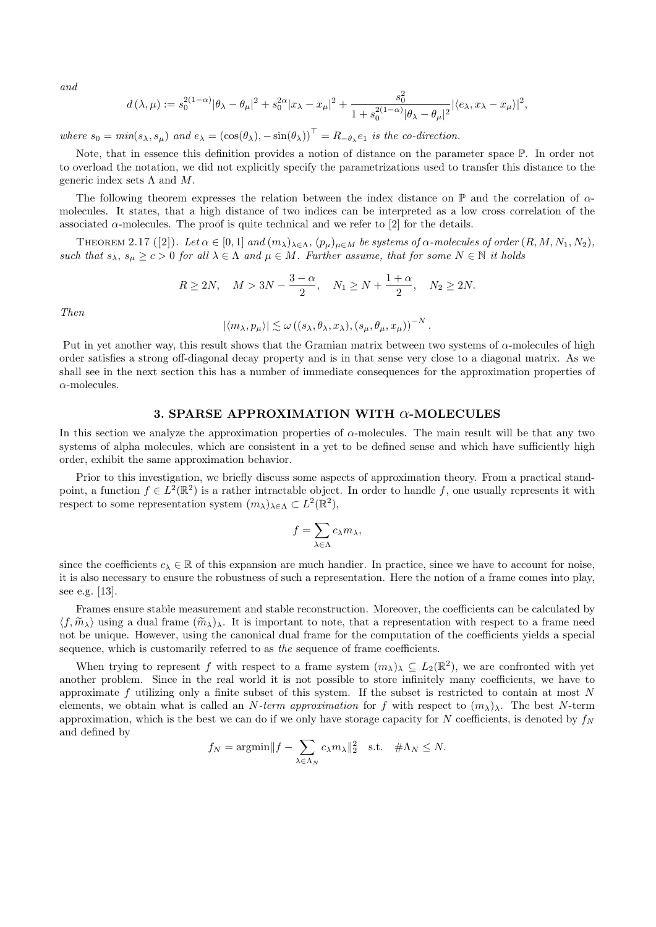*and*

$$
d(\lambda,\mu) := s_0^{2(1-\alpha)} |\theta_{\lambda} - \theta_{\mu}|^2 + s_0^{2\alpha} |x_{\lambda} - x_{\mu}|^2 + \frac{s_0^2}{1 + s_0^{2(1-\alpha)} |\theta_{\lambda} - \theta_{\mu}|^2} |\langle e_{\lambda}, x_{\lambda} - x_{\mu} \rangle|^2,
$$

where  $s_0 = min(s_\lambda, s_\mu)$  and  $e_\lambda = (\cos(\theta_\lambda), -\sin(\theta_\lambda))^\top = R_{-\theta_\lambda} e_1$  is the co-direction.

Note, that in essence this definition provides a notion of distance on the parameter space P. In order not to overload the notation, we did not explicitly specify the parametrizations used to transfer this distance to the generic index sets Λ and *M*.

The following theorem expresses the relation between the index distance on P and the correlation of *α*molecules. It states, that a high distance of two indices can be interpreted as a low cross correlation of the associated  $\alpha$ -molecules. The proof is quite technical and we refer to [2] for the details.

THEOREM 2.17 ([2]). Let  $\alpha \in [0,1]$  and  $(m_{\lambda})_{\lambda \in \Lambda}$ ,  $(p_{\mu})_{\mu \in M}$  be systems of  $\alpha$ -molecules of order  $(R, M, N_1, N_2)$ , *such that*  $s_{\lambda}, s_{\mu} \ge c > 0$  *for all*  $\lambda \in \Lambda$  *and*  $\mu \in M$ *. Further assume, that for some*  $N \in \mathbb{N}$  *it holds* 

$$
R \ge 2N
$$
,  $M > 3N - \frac{3-\alpha}{2}$ ,  $N_1 \ge N + \frac{1+\alpha}{2}$ ,  $N_2 \ge 2N$ .

*Then*

$$
|\langle m_\lambda, p_\mu \rangle| \lesssim \omega((s_\lambda, \theta_\lambda, x_\lambda), (s_\mu, \theta_\mu, x_\mu))^{-N}
$$

*.*

Put in yet another way, this result shows that the Gramian matrix between two systems of *α*-molecules of high order satisfies a strong off-diagonal decay property and is in that sense very close to a diagonal matrix. As we shall see in the next section this has a number of immediate consequences for the approximation properties of *α*-molecules.

# **3. SPARSE APPROXIMATION WITH** *α***-MOLECULES**

In this section we analyze the approximation properties of *α*-molecules. The main result will be that any two systems of alpha molecules, which are consistent in a yet to be defined sense and which have sufficiently high order, exhibit the same approximation behavior.

Prior to this investigation, we briefly discuss some aspects of approximation theory. From a practical standpoint, a function  $f \in L^2(\mathbb{R}^2)$  is a rather intractable object. In order to handle f, one usually represents it with respect to some representation system  $(m_{\lambda})_{\lambda \in \Lambda} \subset L^2(\mathbb{R}^2)$ ,

$$
f = \sum_{\lambda \in \Lambda} c_{\lambda} m_{\lambda},
$$

since the coefficients  $c_{\lambda} \in \mathbb{R}$  of this expansion are much handier. In practice, since we have to account for noise, it is also necessary to ensure the robustness of such a representation. Here the notion of a frame comes into play, see e.g. [13].

Frames ensure stable measurement and stable reconstruction. Moreover, the coefficients can be calculated by  $\langle f, \tilde{m}_{\lambda} \rangle$  using a dual frame  $(\tilde{m}_{\lambda})_{\lambda}$ . It is important to note, that a representation with respect to a frame need not be unique. However, using the canonical dual frame for the computation of the coefficients yields a special sequence, which is customarily referred to as *the* sequence of frame coefficients.

When trying to represent *f* with respect to a frame system  $(m_\lambda)_\lambda \subseteq L_2(\mathbb{R}^2)$ , we are confronted with yet another problem. Since in the real world it is not possible to store infinitely many coefficients, we have to approximate *f* utilizing only a finite subset of this system. If the subset is restricted to contain at most *N* elements, we obtain what is called an *N-term approximation* for *f* with respect to  $(m_{\lambda})$ <sup>*λ*</sup>. The best *N*-term approximation, which is the best we can do if we only have storage capacity for  $N$  coefficients, is denoted by  $f_N$ and defined by

$$
f_N = \operatorname{argmin} ||f - \sum_{\lambda \in \Lambda_N} c_\lambda m_\lambda||_2^2 \quad \text{s.t.} \quad #\Lambda_N \le N.
$$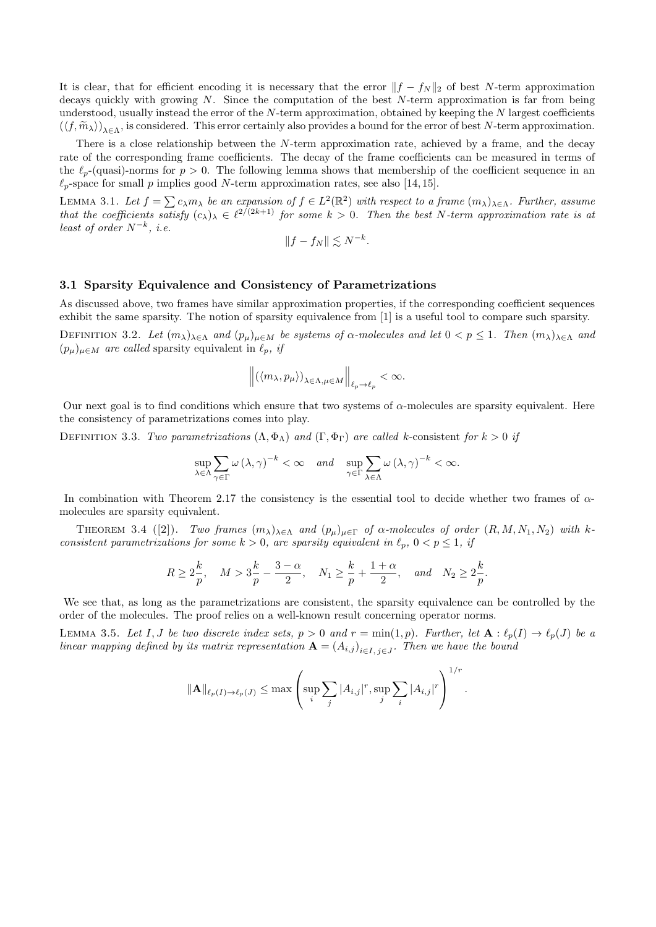It is clear, that for efficient encoding it is necessary that the error  $||f - f_N||_2$  of best *N*-term approximation decays quickly with growing *N*. Since the computation of the best *N*-term approximation is far from being understood, usually instead the error of the *N*-term approximation, obtained by keeping the *N* largest coefficients  $(\langle f, \widetilde{m}_{\lambda} \rangle)_{\lambda \in \Lambda}$ , is considered. This error certainly also provides a bound for the error of best *N*-term approximation.

There is a close relationship between the *N*-term approximation rate, achieved by a frame, and the decay rate of the corresponding frame coefficients. The decay of the frame coefficients can be measured in terms of the  $\ell_p$ -(quasi)-norms for  $p > 0$ . The following lemma shows that membership of the coefficient sequence in an  $\ell_p$ -space for small *p* implies good *N*-term approximation rates, see also [14, 15].

LEMMA 3.1. Let  $f = \sum c_\lambda m_\lambda$  be an expansion of  $f \in L^2(\mathbb{R}^2)$  with respect to a frame  $(m_\lambda)_{\lambda \in \Lambda}$ . Further, assume *that the coefficients satisfy*  $(c_{\lambda})_{\lambda} \in \ell^{2/(2k+1)}$  *for some*  $k > 0$ . Then the best *N*-term approximation rate is at *least of order*  $N^{-k}$ , *i.e.* 

$$
||f - f_N|| \lesssim N^{-k}.
$$

# **3.1 Sparsity Equivalence and Consistency of Parametrizations**

As discussed above, two frames have similar approximation properties, if the corresponding coefficient sequences exhibit the same sparsity. The notion of sparsity equivalence from [1] is a useful tool to compare such sparsity.

DEFINITION 3.2. Let  $(m_{\lambda})_{\lambda \in \Lambda}$  and  $(p_{\mu})_{\mu \in M}$  be systems of  $\alpha$ -molecules and let  $0 < p \leq 1$ . Then  $(m_{\lambda})_{\lambda \in \Lambda}$  and  $(p_{\mu})_{\mu \in M}$  *are called* sparsity equivalent in  $\ell_p$ , *if* 

$$
\left\| \left( \langle m_\lambda, p_\mu \rangle \right)_{\lambda \in \Lambda, \mu \in M} \right\|_{\ell_p \to \ell_p} < \infty.
$$

Our next goal is to find conditions which ensure that two systems of *α*-molecules are sparsity equivalent. Here the consistency of parametrizations comes into play.

DEFINITION 3.3. *Two parametrizations*  $(\Lambda, \Phi_{\Lambda})$  *and*  $(\Gamma, \Phi_{\Gamma})$  *are called k*-consistent *for*  $k > 0$  *if* 

$$
\sup_{\lambda \in \Lambda} \sum_{\gamma \in \Gamma} \omega(\lambda, \gamma)^{-k} < \infty \quad \text{and} \quad \sup_{\gamma \in \Gamma} \sum_{\lambda \in \Lambda} \omega(\lambda, \gamma)^{-k} < \infty.
$$

In combination with Theorem 2.17 the consistency is the essential tool to decide whether two frames of *α*molecules are sparsity equivalent.

**THEOREM** 3.4 ([2]). *Two frames*  $(m_{\lambda})_{\lambda \in \Lambda}$  *and*  $(p_{\mu})_{\mu \in \Gamma}$  *of*  $\alpha$ -molecules of order  $(R, M, N_1, N_2)$  *with*  $k$ *consistent parametrizations for some*  $k > 0$ *, are sparsity equivalent in*  $\ell_p$ ,  $0 < p \leq 1$ *, if* 

$$
R \ge 2\frac{k}{p}, \quad M > 3\frac{k}{p} - \frac{3-\alpha}{2}, \quad N_1 \ge \frac{k}{p} + \frac{1+\alpha}{2}, \quad and \quad N_2 \ge 2\frac{k}{p}.
$$

We see that, as long as the parametrizations are consistent, the sparsity equivalence can be controlled by the order of the molecules. The proof relies on a well-known result concerning operator norms.

LEMMA 3.5. Let I, J be two discrete index sets,  $p > 0$  and  $r = \min(1, p)$ . Further, let  $\mathbf{A}: \ell_p(I) \to \ell_p(J)$  be a *linear mapping defined by its matrix representation*  $\mathbf{A} = (A_{i,j})_{i \in I, j \in J}$ . Then we have the bound

$$
\|\mathbf{A}\|_{\ell_p(I)\to\ell_p(J)} \le \max\left(\sup_i \sum_j |A_{i,j}|^r, \sup_j \sum_i |A_{i,j}|^r\right)^{1/r}.
$$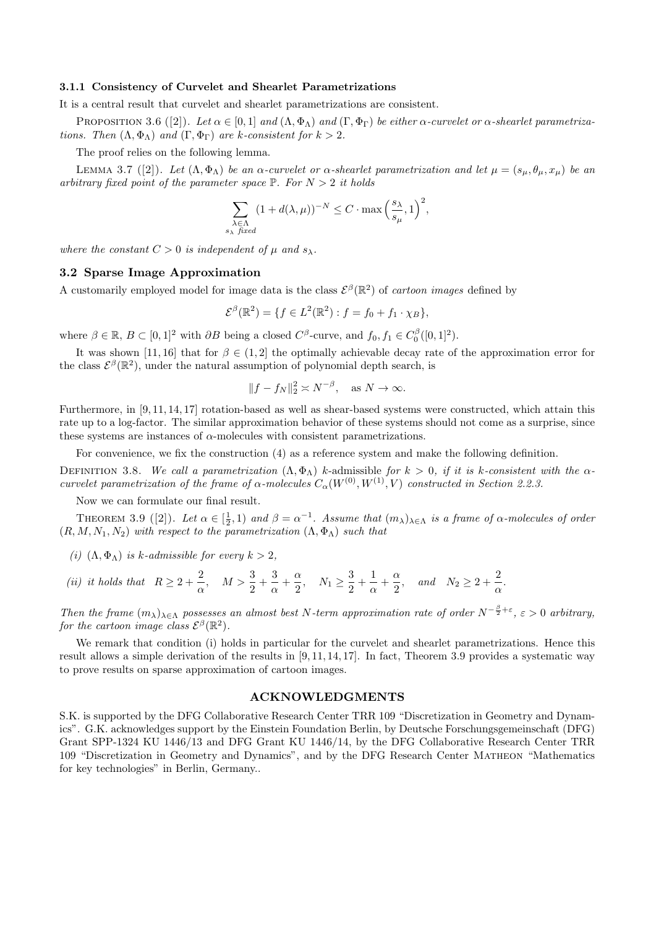#### **3.1.1 Consistency of Curvelet and Shearlet Parametrizations**

It is a central result that curvelet and shearlet parametrizations are consistent.

PROPOSITION 3.6 ([2]). Let  $\alpha \in [0,1]$  and  $(\Lambda, \Phi_{\Lambda})$  and  $(\Gamma, \Phi_{\Gamma})$  be either  $\alpha$ -curvelet or  $\alpha$ -shearlet parametriza*tions.* Then  $(\Lambda, \Phi_{\Lambda})$  *and*  $(\Gamma, \Phi_{\Gamma})$  *are k-consistent for*  $k > 2$ *.* 

The proof relies on the following lemma.

**LEMMA** 3.7 ([2]). Let  $(Λ, Φ<sub>Λ</sub>)$  be an  $α$ -curvelet or  $α$ -shearlet parametrization and let  $μ = (s<sub>μ</sub>, θ<sub>μ</sub>, x<sub>μ</sub>)$  be an *arbitrary fixed point of the parameter space*  $\mathbb{P}$ *. For*  $N > 2$  *it holds* 

$$
\sum_{\substack{\lambda \in \Lambda \\ s_{\lambda} \text{ fixed}}} (1 + d(\lambda, \mu))^{-N} \le C \cdot \max\left(\frac{s_{\lambda}}{s_{\mu}}, 1\right)^2,
$$

*where the constant*  $C > 0$  *is independent of*  $\mu$  *and*  $s_{\lambda}$ *.* 

# **3.2 Sparse Image Approximation**

A customarily employed model for image data is the class  $\mathcal{E}^{\beta}(\mathbb{R}^2)$  of *cartoon images* defined by

$$
\mathcal{E}^{\beta}(\mathbb{R}^{2}) = \{ f \in L^{2}(\mathbb{R}^{2}) : f = f_{0} + f_{1} \cdot \chi_{B} \},
$$

where  $\beta \in \mathbb{R}$ ,  $B \subset [0, 1]^2$  with  $\partial B$  being a closed  $C^{\beta}$ -curve, and  $f_0, f_1 \in C_0^{\beta}([0, 1]^2)$ .

It was shown [11, 16] that for  $\beta \in (1, 2]$  the optimally achievable decay rate of the approximation error for the class  $\mathcal{E}^{\beta}(\mathbb{R}^2)$ , under the natural assumption of polynomial depth search, is

$$
||f - f_N||_2^2 \asymp N^{-\beta}, \quad \text{as } N \to \infty.
$$

Furthermore, in [9, 11, 14, 17] rotation-based as well as shear-based systems were constructed, which attain this rate up to a log-factor. The similar approximation behavior of these systems should not come as a surprise, since these systems are instances of  $\alpha$ -molecules with consistent parametrizations.

For convenience, we fix the construction (4) as a reference system and make the following definition.

DEFINITION 3.8. *We call a parametrization*  $(Λ, Φ<sub>Λ</sub>)$  *k*-admissible *for*  $k > 0$ , *if it is k-consistent with the*  $α$ *curvelet parametrization of the frame of*  $\alpha$ -molecules  $C_{\alpha}(W^{(0)}, W^{(1)}, V)$  constructed in Section 2.2.3.

Now we can formulate our final result.

THEOREM 3.9 ([2]). Let  $\alpha \in [\frac{1}{2}, 1)$  and  $\beta = \alpha^{-1}$ . Assume that  $(m_\lambda)_{\lambda \in \Lambda}$  is a frame of  $\alpha$ -molecules of order  $(R, M, N_1, N_2)$  *with respect to the parametrization*  $( \Lambda, \Phi_{\Lambda} )$  *such that* 

- *(i)*  $(\Lambda, \Phi_{\Lambda})$  *is k-admissible for every*  $k > 2$ *,*
- *(ii) it holds that*  $R \geq 2 + \frac{2}{3}$  $\frac{2}{\alpha}$ ,  $M > \frac{3}{2} + \frac{3}{\alpha}$  $\frac{3}{\alpha} + \frac{\alpha}{2}$  $\frac{\alpha}{2}$ ,  $N_1 \geq \frac{3}{2}$  $\frac{3}{2} + \frac{1}{\alpha}$  $\frac{1}{\alpha} + \frac{\alpha}{2}$  $\frac{\alpha}{2}$ , and  $N_2 \ge 2 + \frac{2}{\alpha}$  $\frac{2}{\alpha}$ .

*Then the frame*  $(m_\lambda)_{\lambda \in \Lambda}$  *possesses an almost best N-term approximation rate of order*  $N^{-\frac{\beta}{2}+\varepsilon}$ ,  $\varepsilon > 0$  *arbitrary*, *for the cartoon image class*  $\mathcal{E}^{\beta}(\mathbb{R}^2)$ *.* 

We remark that condition (i) holds in particular for the curvelet and shearlet parametrizations. Hence this result allows a simple derivation of the results in [9, 11, 14, 17]. In fact, Theorem 3.9 provides a systematic way to prove results on sparse approximation of cartoon images.

#### **ACKNOWLEDGMENTS**

S.K. is supported by the DFG Collaborative Research Center TRR 109 "Discretization in Geometry and Dynamics". G.K. acknowledges support by the Einstein Foundation Berlin, by Deutsche Forschungsgemeinschaft (DFG) Grant SPP-1324 KU 1446/13 and DFG Grant KU 1446/14, by the DFG Collaborative Research Center TRR 109 "Discretization in Geometry and Dynamics", and by the DFG Research Center Matheon "Mathematics for key technologies" in Berlin, Germany..